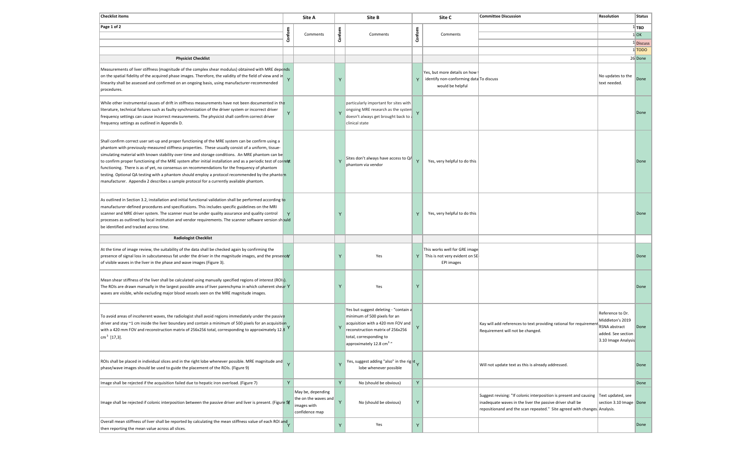| <b>Checklist items</b>                                                                                                                                                                                                                                                                                                                                                                                                                                                                                                                                                                                                                                                                                                      |         | Site A                                                                     |              | Site B                                                                                                                                                                                                            |         | Site C                                                                                      | <b>Committee Discussion</b>                                                                                                                                                                                                    | <b>Resolution</b>                                                                                  | <b>Status</b> |
|-----------------------------------------------------------------------------------------------------------------------------------------------------------------------------------------------------------------------------------------------------------------------------------------------------------------------------------------------------------------------------------------------------------------------------------------------------------------------------------------------------------------------------------------------------------------------------------------------------------------------------------------------------------------------------------------------------------------------------|---------|----------------------------------------------------------------------------|--------------|-------------------------------------------------------------------------------------------------------------------------------------------------------------------------------------------------------------------|---------|---------------------------------------------------------------------------------------------|--------------------------------------------------------------------------------------------------------------------------------------------------------------------------------------------------------------------------------|----------------------------------------------------------------------------------------------------|---------------|
| Page 1 of 2                                                                                                                                                                                                                                                                                                                                                                                                                                                                                                                                                                                                                                                                                                                 |         | Comments                                                                   |              | Comments                                                                                                                                                                                                          | Conform | Comments                                                                                    |                                                                                                                                                                                                                                |                                                                                                    | $1$ TBD       |
|                                                                                                                                                                                                                                                                                                                                                                                                                                                                                                                                                                                                                                                                                                                             | Conform |                                                                            | Conform      |                                                                                                                                                                                                                   |         |                                                                                             |                                                                                                                                                                                                                                |                                                                                                    | $1$ OK        |
|                                                                                                                                                                                                                                                                                                                                                                                                                                                                                                                                                                                                                                                                                                                             |         |                                                                            |              |                                                                                                                                                                                                                   |         |                                                                                             |                                                                                                                                                                                                                                |                                                                                                    | 1 Discuss     |
|                                                                                                                                                                                                                                                                                                                                                                                                                                                                                                                                                                                                                                                                                                                             |         |                                                                            |              |                                                                                                                                                                                                                   |         |                                                                                             |                                                                                                                                                                                                                                |                                                                                                    | 1 TODO        |
| <b>Physicist Checklist</b>                                                                                                                                                                                                                                                                                                                                                                                                                                                                                                                                                                                                                                                                                                  |         |                                                                            |              |                                                                                                                                                                                                                   |         |                                                                                             |                                                                                                                                                                                                                                |                                                                                                    | 26 Done       |
| Measurements of liver stiffness (magnitude of the complex shear modulus) obtained with MRE depends<br>on the spatial fidelity of the acquired phase images. Therefore, the validity of the field of view and in<br>linearity shall be assessed and confirmed on an ongoing basis, using manufacturer-recommended<br>procedures.                                                                                                                                                                                                                                                                                                                                                                                             |         |                                                                            |              |                                                                                                                                                                                                                   | Y       | Yes, but more details on how<br>identify non-conforming data To discuss<br>would be helpful |                                                                                                                                                                                                                                | No updates to the<br>text needed.                                                                  | Done          |
| While other instrumental causes of drift in stiffness measurements have not been documented in the<br>literature, technical failures such as faulty synchronization of the driver system or incorrect driver<br>frequency settings can cause incorrect measurements. The physicist shall confirm correct driver<br>frequency settings as outlined in Appendix D.                                                                                                                                                                                                                                                                                                                                                            |         |                                                                            |              | particularly important for sites with<br>ongoing MRE research as the system<br>doesn't always get brought back to a<br>clinical state                                                                             |         |                                                                                             |                                                                                                                                                                                                                                |                                                                                                    | Done          |
| Shall confirm correct user set-up and proper functioning of the MRE system can be confirm using a<br>phantom with previously-measured stiffness properties. These usually consist of a uniform, tissue-<br>simulating material with known stability over time and storage conditions. An MRE phantom can be<br>to confirm proper functioning of the MRE system after initial installation and as a periodic test of correct<br>functioning. There is as of yet, no consensus on recommendations for the frequency of phantom<br>testing. Optional QA testing with a phantom should employ a protocol recommended by the phanto n<br>manufacturer. Appendix 2 describes a sample protocol for a currently available phantom. |         |                                                                            |              | Sites don't always have access to QA<br>phantom via vendor                                                                                                                                                        |         | Yes, very helpful to do this                                                                |                                                                                                                                                                                                                                |                                                                                                    | Done          |
| As outlined in Section 3.2, installation and initial functional validation shall be performed according to<br>manufacturer-defined procedures and specifications. This includes specific guidelines on the MRI<br>scanner and MRE driver system. The scanner must be under quality assurance and quality control<br>processes as outlined by local institution and vendor requirements. The scanner software version should<br>be identified and tracked across time.                                                                                                                                                                                                                                                       |         |                                                                            |              |                                                                                                                                                                                                                   | Y       | Yes, very helpful to do this                                                                |                                                                                                                                                                                                                                |                                                                                                    | Done          |
| <b>Radiologist Checklist</b>                                                                                                                                                                                                                                                                                                                                                                                                                                                                                                                                                                                                                                                                                                |         |                                                                            |              |                                                                                                                                                                                                                   |         |                                                                                             |                                                                                                                                                                                                                                |                                                                                                    |               |
| At the time of image review, the suitability of the data shall be checked again by confirming the<br>presence of signal loss in subcutaneous fat under the driver in the magnitude images, and the presence<br>of visible waves in the liver in the phase and wave images (Figure 3).                                                                                                                                                                                                                                                                                                                                                                                                                                       |         |                                                                            |              | Yes                                                                                                                                                                                                               | Y       | This works well for GRE image<br>This is not very evident on SE<br><b>EPI</b> images        |                                                                                                                                                                                                                                |                                                                                                    | Done          |
| Mean shear stiffness of the liver shall be calculated using manually specified regions of interest (ROI: ).<br>The ROIs are drawn manually in the largest possible area of liver parenchyma in which coherent shear Y<br>waves are visible, while excluding major blood vessels seen on the MRE magnitude images.                                                                                                                                                                                                                                                                                                                                                                                                           |         |                                                                            |              | Yes                                                                                                                                                                                                               | Y       |                                                                                             |                                                                                                                                                                                                                                |                                                                                                    | Done          |
| To avoid areas of incoherent waves, the radiologist shall avoid regions immediately under the passive<br>driver and stay ~1 cm inside the liver boundary and contain a minimum of 500 pixels for an acquisition<br>with a 420 mm FOV and reconstruction matrix of 256x256 total, corresponding to approximately 12.3<br>$\rm \vert cm^3$ [17,3].                                                                                                                                                                                                                                                                                                                                                                            |         |                                                                            | $\mathbf{Y}$ | Yes but suggest deleting - "contain a<br>minimum of 500 pixels for an<br>acquisition with a 420 mm FOV and<br>reconstruction matrix of 256x256<br>total, corresponding to<br>approximately 12.8 cm <sup>3</sup> " | Y       |                                                                                             | Kay will add references to text providing rational for requiremen<br>Requirement will not be changed.                                                                                                                          | Reference to Dr.<br>Middleton's 2019<br>RSNA abstract<br>added. See section<br>3.10 Image Analysis | Done          |
| ROIs shall be placed in individual slices and in the right lobe whenever possible. MRE magnitude and<br>phase/wave images should be used to guide the placement of the ROIs. (Figure 9)                                                                                                                                                                                                                                                                                                                                                                                                                                                                                                                                     |         |                                                                            | Y            | Yes, suggest adding "also" in the right $\sqrt{}$<br>lobe whenever possible                                                                                                                                       |         |                                                                                             | Will not update text as this is already addressed.                                                                                                                                                                             |                                                                                                    | Done          |
| Image shall be rejected if the acquisition failed due to hepatic iron overload. (Figure 7)                                                                                                                                                                                                                                                                                                                                                                                                                                                                                                                                                                                                                                  | Y       |                                                                            | Y            | No (should be obvious)                                                                                                                                                                                            | Y       |                                                                                             |                                                                                                                                                                                                                                |                                                                                                    | Done          |
| Image shall be rejected if colonic interposition between the passive driver and liver is present. (Figure S)                                                                                                                                                                                                                                                                                                                                                                                                                                                                                                                                                                                                                |         | May be, depending<br>the on the waves and<br>images with<br>confidence map | $\mathsf{Y}$ | No (should be obvious)                                                                                                                                                                                            | Y       |                                                                                             | Suggest revising: "If colonic interposition is present and causing Text updated, see<br>inadequate waves in the liver the passive driver shall be<br>repositionand and the scan repeated." Site agreed with changes. Analysis. | section 3.10 Image Done                                                                            |               |
| Overall mean stiffness of liver shall be reported by calculating the mean stiffness value of each ROI and<br>then reporting the mean value across all slices.                                                                                                                                                                                                                                                                                                                                                                                                                                                                                                                                                               |         |                                                                            | Y            | Yes                                                                                                                                                                                                               | Y       |                                                                                             |                                                                                                                                                                                                                                |                                                                                                    | Done          |